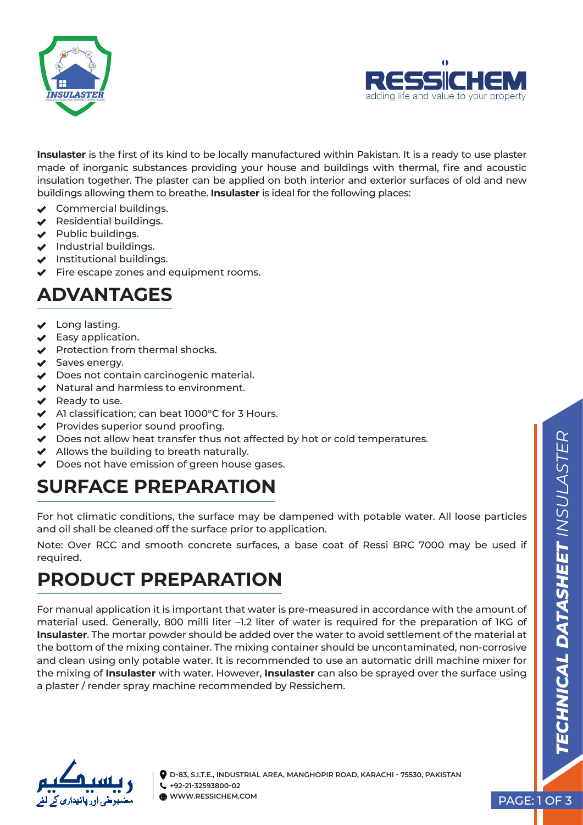



**Insulaster** is the first of its kind to be locally manufactured within Pakistan. It is a ready to use plaster made of inorganic substances providing your house and buildings with thermal, fire and acoustic insulation together. The plaster can be applied on both interior and exterior surfaces of old and new buildings allowing them to breathe. **Insulaster** is ideal for the following places:

- ◆ Commercial buildings.
- $\triangleleft$  Residential buildings.
- $\vee$  Public buildings.
- $\blacktriangleright$  Industrial buildings.
- $\blacktriangleright$  Institutional buildings.
- $\blacktriangleright$  Fire escape zones and equipment rooms.

#### **ADVANTAGES**

- ◆ Long lasting.
- $\blacktriangleright$  Easy application.
- $\blacktriangleright$  Protection from thermal shocks.
- ◆ Saves energy.
- ◆ Does not contain carcinogenic material.
- $\blacktriangleright$  Natural and harmless to environment.
- $\vee$  Ready to use.
- $\triangleleft$  Al classification; can beat 1000 $^{\circ}$ C for 3 Hours.
- $\blacktriangleright$  Provides superior sound proofing.
- ◆ Does not allow heat transfer thus not affected by hot or cold temperatures.
- $\blacktriangleright$  Allows the building to breath naturally.
- ◆ Does not have emission of green house gases.

### **SURFACE PREPARATION**

For hot climatic conditions, the surface may be dampened with potable water. All loose particles and oil shall be cleaned off the surface prior to application.

Note: Over RCC and smooth concrete surfaces, a base coat of Ressi BRC 7000 may be used if required.

## **PRODUCT PREPARATION**

For manual application it is important that water is pre-measured in accordance with the amount of material used. Generally, 800 milli liter –1.2 liter of water is required for the preparation of 1KG of **Insulaster**. The mortar powder should be added over the water to avoid settlement of the material at the bottom of the mixing container. The mixing container should be uncontaminated, non-corrosive and clean using only potable water. It is recommended to use an automatic drill machine mixer for the mixing of **Insulaster** with water. However, **Insulaster** can also be sprayed over the surface using a plaster / render spray machine recommended by Ressichem.



**D-83, S.I.T.E., INDUSTRIAL AREA, MANGHOPIR ROAD, KARACHI - 75530, PAKISTAN +92-21-32593800-02 WWW.RESSICHEM.COM PAGE: 1 OF 3**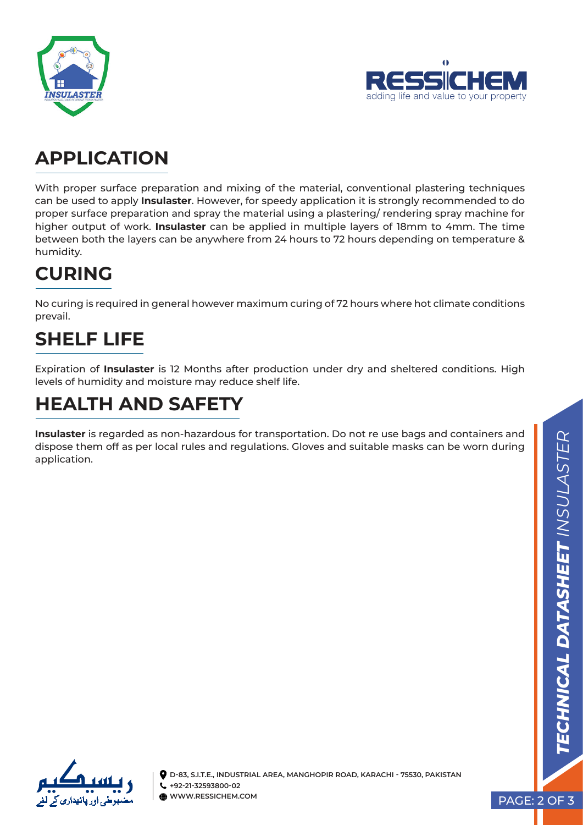



### **APPLICATION**

With proper surface preparation and mixing of the material, conventional plastering techniques can be used to apply **Insulaster**. However, for speedy application it is strongly recommended to do proper surface preparation and spray the material using a plastering/ rendering spray machine for higher output of work. **Insulaster** can be applied in multiple layers of 18mm to 4mm. The time between both the layers can be anywhere from 24 hours to 72 hours depending on temperature & humidity.

## **CURING**

No curing is required in general however maximum curing of 72 hours where hot climate conditions prevail.

# **SHELF LIFE**

Expiration of **Insulaster** is 12 Months after production under dry and sheltered conditions. High levels of humidity and moisture may reduce shelf life.

## **HEALTH AND SAFETY**

**Insulaster** is regarded as non-hazardous for transportation. Do not re use bags and containers and dispose them off as per local rules and regulations. Gloves and suitable masks can be worn during application.



**D-83, S.I.T.E., INDUSTRIAL AREA, MANGHOPIR ROAD, KARACHI - 75530, PAKISTAN +92-21-32593800-02 WWW.RESSICHEM.COM**